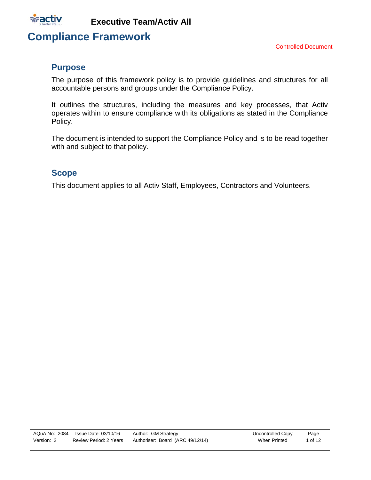

# **Compliance Framework**

### <span id="page-0-0"></span>**Purpose**

The purpose of this framework policy is to provide guidelines and structures for all accountable persons and groups under the Compliance Policy.

It outlines the structures, including the measures and key processes, that Activ operates within to ensure compliance with its obligations as stated in the Compliance Policy.

The document is intended to support the Compliance Policy and is to be read together with and subject to that policy.

### <span id="page-0-1"></span>**Scope**

This document applies to all Activ Staff, Employees, Contractors and Volunteers.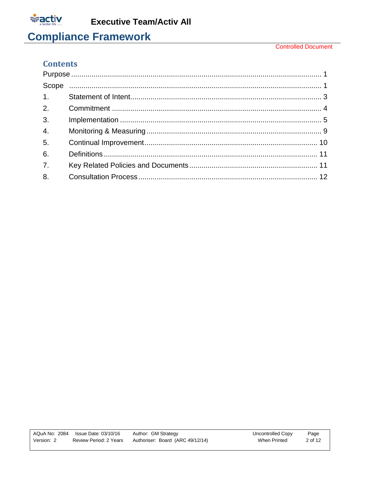

#### **Controlled Document**

### **Contents**

| 1.               |  |  |
|------------------|--|--|
| 2.               |  |  |
| 3 <sub>1</sub>   |  |  |
| $\overline{4}$ . |  |  |
| 5 <sub>1</sub>   |  |  |
| 6.               |  |  |
| $\overline{7}$ . |  |  |
| 8.               |  |  |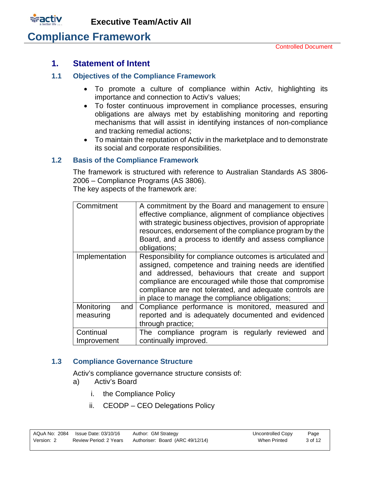

### <span id="page-2-0"></span>**1. Statement of Intent**

### **1.1 Objectives of the Compliance Framework**

- To promote a culture of compliance within Activ, highlighting its importance and connection to Activ's values;
- To foster continuous improvement in compliance processes, ensuring obligations are always met by establishing monitoring and reporting mechanisms that will assist in identifying instances of non-compliance and tracking remedial actions;
- To maintain the reputation of Activ in the marketplace and to demonstrate its social and corporate responsibilities.

### **1.2 Basis of the Compliance Framework**

The framework is structured with reference to Australian Standards AS 3806- 2006 – Compliance Programs (AS 3806). The key aspects of the framework are:

| Commitment        | A commitment by the Board and management to ensure<br>effective compliance, alignment of compliance objectives<br>with strategic business objectives, provision of appropriate<br>resources, endorsement of the compliance program by the<br>Board, and a process to identify and assess compliance<br>obligations;                            |
|-------------------|------------------------------------------------------------------------------------------------------------------------------------------------------------------------------------------------------------------------------------------------------------------------------------------------------------------------------------------------|
| Implementation    | Responsibility for compliance outcomes is articulated and<br>assigned, competence and training needs are identified<br>and addressed, behaviours that create and support<br>compliance are encouraged while those that compromise<br>compliance are not tolerated, and adequate controls are<br>in place to manage the compliance obligations; |
| Monitoring<br>and | Compliance performance is monitored, measured and                                                                                                                                                                                                                                                                                              |
| measuring         | reported and is adequately documented and evidenced<br>through practice;                                                                                                                                                                                                                                                                       |
|                   |                                                                                                                                                                                                                                                                                                                                                |
| Continual         | The compliance program is regularly reviewed and                                                                                                                                                                                                                                                                                               |
| Improvement       | continually improved.                                                                                                                                                                                                                                                                                                                          |

### **1.3 Compliance Governance Structure**

Activ's compliance governance structure consists of:

- a) Activ's Board
	- i. the Compliance Policy
	- ii. CEODP CEO Delegations Policy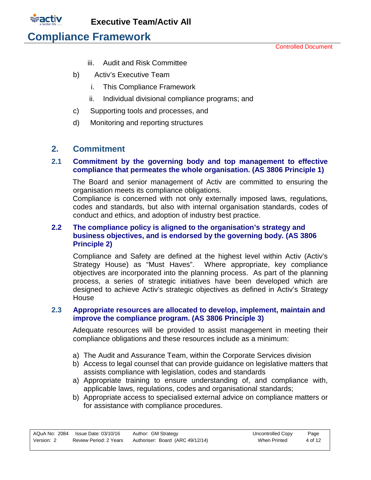

Controlled Document

- iii. Audit and Risk Committee
- b) Activ's Executive Team
	- i. This Compliance Framework
	- ii. Individual divisional compliance programs; and
- c) Supporting tools and processes, and
- d) Monitoring and reporting structures

### <span id="page-3-0"></span>**2. Commitment**

### **2.1 Commitment by the governing body and top management to effective compliance that permeates the whole organisation. (AS 3806 Principle 1)**

The Board and senior management of Activ are committed to ensuring the organisation meets its compliance obligations.

Compliance is concerned with not only externally imposed laws, regulations, codes and standards, but also with internal organisation standards, codes of conduct and ethics, and adoption of industry best practice.

### **2.2 The compliance policy is aligned to the organisation's strategy and business objectives, and is endorsed by the governing body. (AS 3806 Principle 2)**

Compliance and Safety are defined at the highest level within Activ (Activ's Strategy House) as "Must Haves". Where appropriate, key compliance objectives are incorporated into the planning process. As part of the planning process, a series of strategic initiatives have been developed which are designed to achieve Activ's strategic objectives as defined in Activ's Strategy **House** 

### **2.3 Appropriate resources are allocated to develop, implement, maintain and improve the compliance program. (AS 3806 Principle 3)**

Adequate resources will be provided to assist management in meeting their compliance obligations and these resources include as a minimum:

- a) The Audit and Assurance Team, within the Corporate Services division
- b) Access to legal counsel that can provide guidance on legislative matters that assists compliance with legislation, codes and standards
- a) Appropriate training to ensure understanding of, and compliance with, applicable laws, regulations, codes and organisational standards;
- b) Appropriate access to specialised external advice on compliance matters or for assistance with compliance procedures.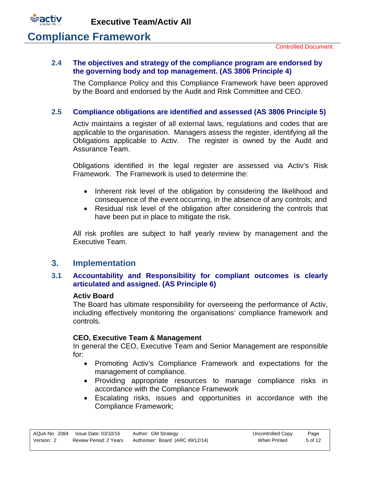

## **Compliance Framework**

#### **2.4 The objectives and strategy of the compliance program are endorsed by the governing body and top management. (AS 3806 Principle 4)**

The Compliance Policy and this Compliance Framework have been approved by the Board and endorsed by the Audit and Risk Committee and CEO.

### **2.5 Compliance obligations are identified and assessed (AS 3806 Principle 5)**

Activ maintains a register of all external laws, regulations and codes that are applicable to the organisation. Managers assess the register, identifying all the Obligations applicable to Activ. The register is owned by the Audit and Assurance Team.

Obligations identified in the legal register are assessed via Activ's Risk Framework. The Framework is used to determine the:

- Inherent risk level of the obligation by considering the likelihood and consequence of the event occurring, in the absence of any controls; and
- Residual risk level of the obligation after considering the controls that have been put in place to mitigate the risk.

All risk profiles are subject to half yearly review by management and the Executive Team.

### <span id="page-4-0"></span>**3. Implementation**

### **3.1 Accountability and Responsibility for compliant outcomes is clearly articulated and assigned. (AS Principle 6)**

#### **Activ Board**

The Board has ultimate responsibility for overseeing the performance of Activ, including effectively monitoring the organisations' compliance framework and controls.

### **CEO, Executive Team & Management**

In general the CEO, Executive Team and Senior Management are responsible for:

- Promoting Activ's Compliance Framework and expectations for the management of compliance.
- Providing appropriate resources to manage compliance risks in accordance with the Compliance Framework
- Escalating risks, issues and opportunities in accordance with the Compliance Framework;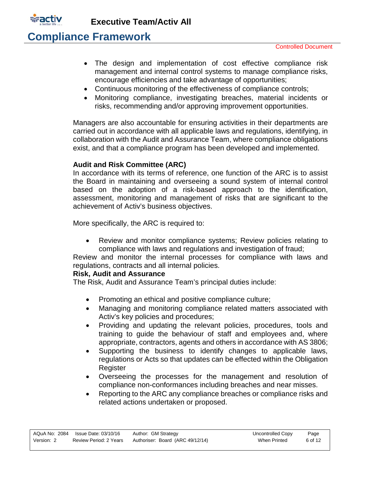

## **Compliance Framework**

- The design and implementation of cost effective compliance risk management and internal control systems to manage compliance risks, encourage efficiencies and take advantage of opportunities;
- Continuous monitoring of the effectiveness of compliance controls;
- Monitoring compliance, investigating breaches, material incidents or risks, recommending and/or approving improvement opportunities.

Managers are also accountable for ensuring activities in their departments are carried out in accordance with all applicable laws and regulations, identifying, in collaboration with the Audit and Assurance Team, where compliance obligations exist, and that a compliance program has been developed and implemented.

### **Audit and Risk Committee (ARC)**

In accordance with its terms of reference, one function of the ARC is to assist the Board in maintaining and overseeing a sound system of internal control based on the adoption of a risk-based approach to the identification, assessment, monitoring and management of risks that are significant to the achievement of Activ's business objectives.

More specifically, the ARC is required to:

• Review and monitor compliance systems; Review policies relating to compliance with laws and regulations and investigation of fraud;

Review and monitor the internal processes for compliance with laws and regulations, contracts and all internal policies.

### **Risk, Audit and Assurance**

The Risk, Audit and Assurance Team's principal duties include:

- Promoting an ethical and positive compliance culture;
- Managing and monitoring compliance related matters associated with Activ's key policies and procedures;
- Providing and updating the relevant policies, procedures, tools and training to guide the behaviour of staff and employees and, where appropriate, contractors, agents and others in accordance with AS 3806;
- Supporting the business to identify changes to applicable laws, regulations or Acts so that updates can be effected within the Obligation Register
- Overseeing the processes for the management and resolution of compliance non-conformances including breaches and near misses.
- Reporting to the ARC any compliance breaches or compliance risks and related actions undertaken or proposed.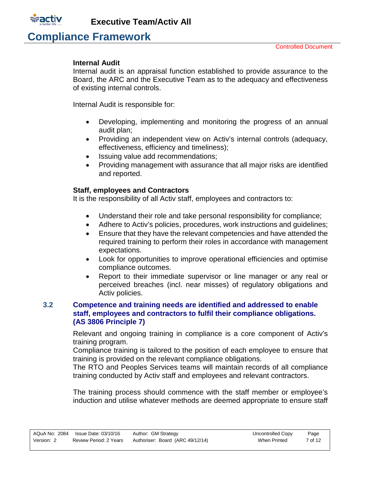

# **Compliance Framework**

### **Internal Audit**

Internal audit is an appraisal function established to provide assurance to the Board, the ARC and the Executive Team as to the adequacy and effectiveness of existing internal controls.

Internal Audit is responsible for:

- Developing, implementing and monitoring the progress of an annual audit plan;
- Providing an independent view on Activ's internal controls (adequacy, effectiveness, efficiency and timeliness);
- Issuing value add recommendations;
- Providing management with assurance that all major risks are identified and reported.

### **Staff, employees and Contractors**

It is the responsibility of all Activ staff, employees and contractors to:

- Understand their role and take personal responsibility for compliance;
- Adhere to Activ's policies, procedures, work instructions and guidelines;
- Ensure that they have the relevant competencies and have attended the required training to perform their roles in accordance with management expectations.
- Look for opportunities to improve operational efficiencies and optimise compliance outcomes.
- Report to their immediate supervisor or line manager or any real or perceived breaches (incl. near misses) of regulatory obligations and Activ policies.

### **3.2 Competence and training needs are identified and addressed to enable staff, employees and contractors to fulfil their compliance obligations. (AS 3806 Principle 7)**

Relevant and ongoing training in compliance is a core component of Activ's training program.

Compliance training is tailored to the position of each employee to ensure that training is provided on the relevant compliance obligations.

The RTO and Peoples Services teams will maintain records of all compliance training conducted by Activ staff and employees and relevant contractors.

The training process should commence with the staff member or employee's induction and utilise whatever methods are deemed appropriate to ensure staff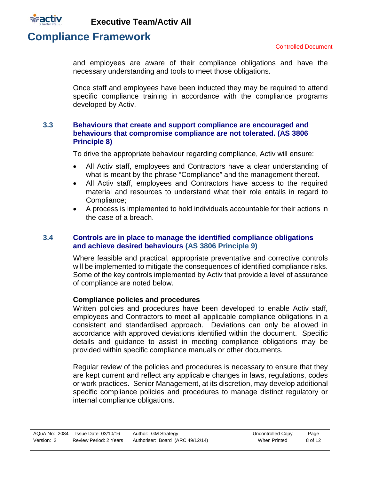

## **Compliance Framework**

and employees are aware of their compliance obligations and have the necessary understanding and tools to meet those obligations.

Once staff and employees have been inducted they may be required to attend specific compliance training in accordance with the compliance programs developed by Activ.

### **3.3 Behaviours that create and support compliance are encouraged and behaviours that compromise compliance are not tolerated. (AS 3806 Principle 8)**

To drive the appropriate behaviour regarding compliance, Activ will ensure:

- All Activ staff, employees and Contractors have a clear understanding of what is meant by the phrase "Compliance" and the management thereof.
- All Activ staff, employees and Contractors have access to the required material and resources to understand what their role entails in regard to Compliance;
- A process is implemented to hold individuals accountable for their actions in the case of a breach.

### **3.4 Controls are in place to manage the identified compliance obligations and achieve desired behaviours (AS 3806 Principle 9)**

Where feasible and practical, appropriate preventative and corrective controls will be implemented to mitigate the consequences of identified compliance risks. Some of the key controls implemented by Activ that provide a level of assurance of compliance are noted below.

### **Compliance policies and procedures**

Written policies and procedures have been developed to enable Activ staff, employees and Contractors to meet all applicable compliance obligations in a consistent and standardised approach. Deviations can only be allowed in accordance with approved deviations identified within the document. Specific details and guidance to assist in meeting compliance obligations may be provided within specific compliance manuals or other documents.

Regular review of the policies and procedures is necessary to ensure that they are kept current and reflect any applicable changes in laws, regulations, codes or work practices. Senior Management, at its discretion, may develop additional specific compliance policies and procedures to manage distinct regulatory or internal compliance obligations.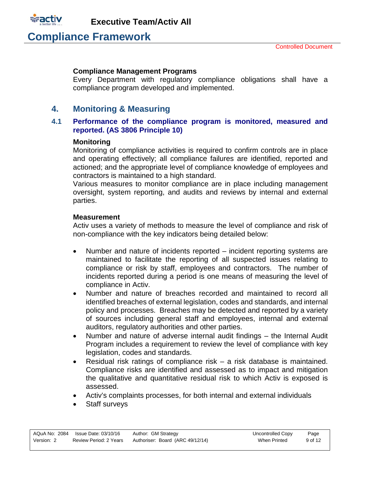

### **Compliance Management Programs**

Every Department with regulatory compliance obligations shall have a compliance program developed and implemented.

## <span id="page-8-0"></span>**4. Monitoring & Measuring**

### **4.1 Performance of the compliance program is monitored, measured and reported. (AS 3806 Principle 10)**

### **Monitoring**

Monitoring of compliance activities is required to confirm controls are in place and operating effectively; all compliance failures are identified, reported and actioned; and the appropriate level of compliance knowledge of employees and contractors is maintained to a high standard.

Various measures to monitor compliance are in place including management oversight, system reporting, and audits and reviews by internal and external parties.

#### **Measurement**

Activ uses a variety of methods to measure the level of compliance and risk of non-compliance with the key indicators being detailed below:

- Number and nature of incidents reported incident reporting systems are maintained to facilitate the reporting of all suspected issues relating to compliance or risk by staff, employees and contractors. The number of incidents reported during a period is one means of measuring the level of compliance in Activ.
- Number and nature of breaches recorded and maintained to record all identified breaches of external legislation, codes and standards, and internal policy and processes. Breaches may be detected and reported by a variety of sources including general staff and employees, internal and external auditors, regulatory authorities and other parties.
- Number and nature of adverse internal audit findings the Internal Audit Program includes a requirement to review the level of compliance with key legislation, codes and standards.
- Residual risk ratings of compliance risk a risk database is maintained. Compliance risks are identified and assessed as to impact and mitigation the qualitative and quantitative residual risk to which Activ is exposed is assessed.
- Activ's complaints processes, for both internal and external individuals
- Staff surveys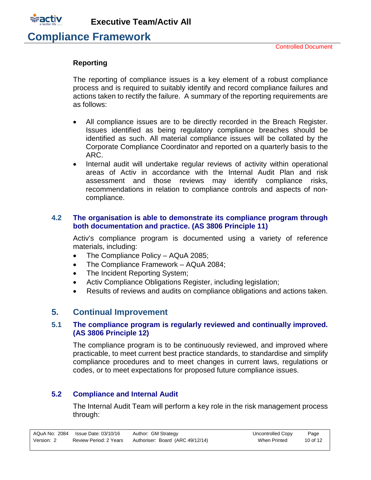

**Compliance Framework**

### **Reporting**

The reporting of compliance issues is a key element of a robust compliance process and is required to suitably identify and record compliance failures and actions taken to rectify the failure. A summary of the reporting requirements are as follows:

- All compliance issues are to be directly recorded in the Breach Register. Issues identified as being regulatory compliance breaches should be identified as such. All material compliance issues will be collated by the Corporate Compliance Coordinator and reported on a quarterly basis to the ARC.
- Internal audit will undertake regular reviews of activity within operational areas of Activ in accordance with the Internal Audit Plan and risk assessment and those reviews may identify compliance risks, recommendations in relation to compliance controls and aspects of noncompliance.

### **4.2 The organisation is able to demonstrate its compliance program through both documentation and practice. (AS 3806 Principle 11)**

Activ's compliance program is documented using a variety of reference materials, including:

- The Compliance Policy AQuA 2085;
- The Compliance Framework AQuA 2084;
- The Incident Reporting System;
- Activ Compliance Obligations Register, including legislation;
- Results of reviews and audits on compliance obligations and actions taken.

## <span id="page-9-0"></span>**5. Continual Improvement**

### **5.1 The compliance program is regularly reviewed and continually improved. (AS 3806 Principle 12)**

The compliance program is to be continuously reviewed, and improved where practicable, to meet current best practice standards, to standardise and simplify compliance procedures and to meet changes in current laws, regulations or codes, or to meet expectations for proposed future compliance issues.

### **5.2 Compliance and Internal Audit**

The Internal Audit Team will perform a key role in the risk management process through: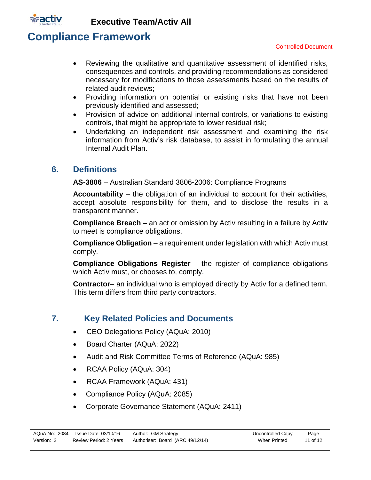

## **Compliance Framework**

- Reviewing the qualitative and quantitative assessment of identified risks, consequences and controls, and providing recommendations as considered necessary for modifications to those assessments based on the results of related audit reviews;
- Providing information on potential or existing risks that have not been previously identified and assessed;
- Provision of advice on additional internal controls, or variations to existing controls, that might be appropriate to lower residual risk;
- Undertaking an independent risk assessment and examining the risk information from Activ's risk database, to assist in formulating the annual Internal Audit Plan.

## <span id="page-10-0"></span>**6. Definitions**

**AS-3806** – Australian Standard 3806-2006: Compliance Programs

**Accountability** – the obligation of an individual to account for their activities, accept absolute responsibility for them, and to disclose the results in a transparent manner.

**Compliance Breach** – an act or omission by Activ resulting in a failure by Activ to meet is compliance obligations.

**Compliance Obligation** – a requirement under legislation with which Activ must comply.

**Compliance Obligations Register** – the register of compliance obligations which Activ must, or chooses to, comply.

**Contractor**– an individual who is employed directly by Activ for a defined term. This term differs from third party contractors.

## <span id="page-10-1"></span>**7. Key Related Policies and Documents**

- CEO Delegations Policy (AQuA: 2010)
- Board Charter (AQuA: 2022)
- Audit and Risk Committee Terms of Reference (AQuA: 985)
- RCAA Policy (AQuA: 304)
- RCAA Framework (AQuA: 431)
- Compliance Policy (AQuA: 2085)
- Corporate Governance Statement (AQuA: 2411)